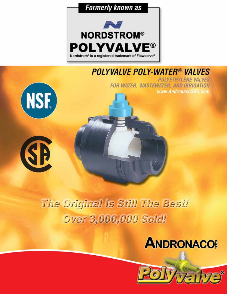



### **POLYVALVE POLY-WATER® VALVES**





**POLYETHYLENE VALVES** FOR WATER, WASTEWATER, AND IRRIGATION www.AndronacoSAS.com

# The Original Is Still The Best! **Over 3,000,000 Sold!**

# ANDRONACO

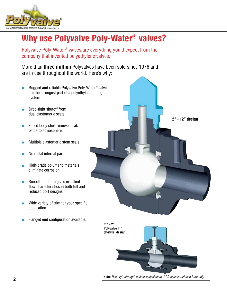

### **Why use Polyvalve Poly-Water® valves?**

Polyvalve Poly-Water® valves are everything you'd expect from the company that invented polyethylene valves.

More than **three million** Polyvalves have been sold since 1976 and are in use throughout the world. Here's why:

- Rugged and reliable Polyvalve Poly-Water<sup>®</sup> valves are the strongest part of a polyethylene piping system.
- Drop-tight shutoff from dual elastomeric seats.
- Fused body shell removes leak paths to atmosphere.
- Multiple elastomeric stem seals.
- No metal internal parts.
- High-grade polymeric materials eliminate corrosion.
- Smooth full bore gives excellent flow characteristics in both full and reduced port designs.
- Wide variety of trim for your specific application.
- Flanged end configuration available.



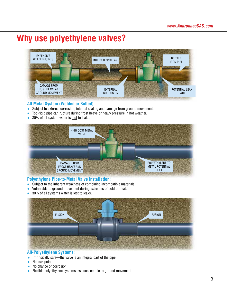### **Why use polyethylene valves?**



#### **All Metal System (Welded or Bolted)**

- Subject to external corrosion, internal scaling and damage from ground movement.
- Too-rigid pipe can rupture during frost heave or heavy pressure in hot weather.
- 30% of all system water is <u>lost</u> to leaks.



#### **Polyethylene Pipe-to-Metal Valve Installation:**

- Subject to the inherent weakness of combining incompatible materials.
- Vulnerable to ground movement during extremes of cold or heat.
- 30% of all systems water is lost to leaks.



#### **All-Polyethylene Systems:**

- Intrinsically safe—the valve is an integral part of the pipe.
- No leak points.
- No chance of corrosion.
- Flexible polyethylene systems less susceptible to ground movement.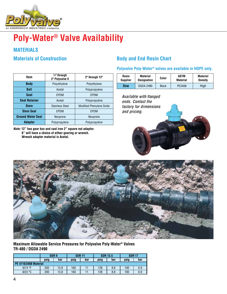

## **Poly-Water® Valve Availability**

#### **MATERIALS**

| Item                     | $1/2$ " through<br>2" Polyvalve II | 2" through 12"                  |  |  |  |  |
|--------------------------|------------------------------------|---------------------------------|--|--|--|--|
| <b>Body</b>              | Polyethylene                       | Polyethylene                    |  |  |  |  |
| <b>Ball</b>              | Acetal                             | Polypropylene                   |  |  |  |  |
| <b>Seat</b>              | EPDM                               | <b>FPDM</b>                     |  |  |  |  |
| <b>Seat Retainer</b>     | Acetal                             | Polypropylene                   |  |  |  |  |
| <b>Stem</b>              | <b>Stainless Steel</b>             | <b>Modified Phenylene Oxide</b> |  |  |  |  |
| <b>Stem Seal</b>         | <b>EPDM</b>                        | <b>EPDM</b>                     |  |  |  |  |
| <b>Ground Water Seal</b> | Neoprene                           | Neoprene                        |  |  |  |  |
| <b>Adapter</b>           | Polypropylene                      | Polypropylene                   |  |  |  |  |

*Note:* **12" has gear box and cast iron 2" square nut adaptor. 8" will have a choice of either gearing or wrench. Wrench adapter material is Acetal.**

### **Materials of Construction Body and End Resin Chart**

**Polyvalve Poly-Water® valves are available in HDPE only.**

| Resin<br><b>Supplier</b> | <b>Material</b><br><b>Designation</b> | Color        | ASTM<br><b>Material</b> | <b>Material</b><br><b>Density</b> |
|--------------------------|---------------------------------------|--------------|-------------------------|-----------------------------------|
| Dow                      | <b>DGDA 2490</b>                      | <b>Black</b> | PE3408                  | High                              |

Available with flanged ends. Contact the factory for dimensions and pricing.





**Maximum Allowable Service Pressures for Polyvalve Poly-Water® Valves TR-480 / DGDA 2490**

|                              | SDR <sub>9</sub> |      | <b>SDR 11</b> |     | <b>SDR 13.5</b> |     | <b>SDR 17</b> |     |  |  |
|------------------------------|------------------|------|---------------|-----|-----------------|-----|---------------|-----|--|--|
|                              | psig<br>bar      |      | psig          | bar | psig            | bar | psig          | bar |  |  |
| <b>PE 4710/3408 Material</b> |                  |      |               |     |                 |     |               |     |  |  |
| @74 °F                       | 200<br>13.8      |      | 160           |     | 128             | 8.8 | 100           | 6.9 |  |  |
| @23 °C                       | 200              | 13.8 |               |     | 128<br>8.8      |     | 100           | 6.9 |  |  |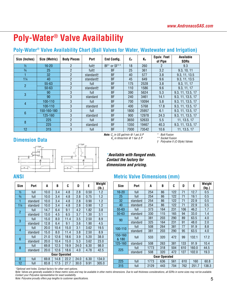## **Poly-Water® Valve Availability**

### Poly-Water® Valve Availability Chart (Ball Valves for Water, Wastewater and Irrigation)

| Size (Inches)    | Size (Metric) | <b>Body Pieces</b> | Port                  | <b>End Config.</b> | Cv   | Kv    | Equiv. Feet<br>of Pipe | Available<br><b>SDRs</b> |  |
|------------------|---------------|--------------------|-----------------------|--------------------|------|-------|------------------------|--------------------------|--|
| $\frac{1}{2}$    | $16 - 20$     | $\overline{2}$     | full <sup>+</sup>     | BF* or SF**        | 18   | 260   | 2                      | 9.3                      |  |
| $\frac{3}{4}$    | 25            | $\overline{2}$     | full <sup>+</sup>     | <b>BF</b>          | 25   | 361   | 3.2                    | 9.3, 10, 11              |  |
|                  | 32            | $\overline{2}$     | standard <sup>+</sup> | <b>BF</b>          | 40   | 577   | 3.8                    | 9.3, 11, 13.5            |  |
| $1\frac{1}{4}$   | 40            |                    | standard+             | BF                 | 45   | 649   | 9.6                    | 9.3, 11, 13.5            |  |
| $\overline{2}$   | $55 - 63$     | 3                  | full                  | <b>BF</b>          | 175  | 2528  | 3.8                    | 9.3, 11, 17              |  |
|                  | $50 - 63$     | $\overline{2}$     | standard+             | <b>BF</b>          | 110  | 1586  | 9.6                    | 9.3, 11, 17              |  |
| $\overline{3}$   | 90            | 3                  | full                  | <b>BF</b>          | 390  | 5624  | 5.3                    | 9.3, 11, 13.5, 17        |  |
|                  | 90            | 3                  | standard              | BF                 | 240  | 3461  | 14.1                   | 9.3, 11, 13.5, 17        |  |
| $\overline{4}$   | 100-110       | 3                  | full                  | <b>BF</b>          | 700  | 10094 | 5.8                    | 9.3, 11, 13.5, 17        |  |
|                  | 100-110       | 3                  | standard              | <b>BF</b>          | 400  | 5768  | 17.8                   | 9.3, 11, 13.5, 17        |  |
| $\boldsymbol{6}$ | 150-160-180   | 3                  | full                  | BF                 | 1800 | 25957 | 6.1                    | 9.3, 11, 13.5, 17        |  |
|                  | 125-160       | 3                  | standard              | <b>BF</b>          | 900  | 12978 | 24.3                   | 9.3, 11, 13.5, 17        |  |
| $\boldsymbol{8}$ | 225           | $\mathcal{P}$      | full                  | BF                 | 3650 | 52633 | 5.5                    | 11, 13.5, 17             |  |
|                  | 225           | 3                  | standard              | <b>BF</b>          | 1350 | 19467 | 40.3                   | 9.3, 11, 13.5, 17        |  |
| 12               | 315           | 3                  | full                  | BF                 | 7000 | 73542 | 10.6                   | 11, 13.5, 17             |  |

#### **Dimension Data**



*Note: C<sub>v</sub> in US gal/min @ 1 psi* ∆ *P K<sub>v</sub> in litres/min @ 1 bar ∆ P* 

*\* Butt Fusion † Polyvalve II (C-Style) Valves \*\* Socket Fusion*

*\*\* Socket Fusion † Polyvalve II (C-Style) Valves*

*† Polyvalve II (C-Style) Valves*

*\*Available with flanged ends. dimensions and pricing. Contact the factory for Contact the factory for dimensions and pricing. Contact the factory for \*Available with flanged ends.*

| <b>Size</b>    | Port     | A    | B                    | C    | D    | E    | Weight<br>(Ib.) |  |
|----------------|----------|------|----------------------|------|------|------|-----------------|--|
| $\frac{1}{2}$  | full     | 10.0 | 3.4                  | 4.8  | 2.8  | 0.50 | 1.2             |  |
| $\frac{3}{4}$  | full     | 10.0 | 3.4                  | 4.8  | 2.8  | 0.75 | 1.2             |  |
| 1              | standard | 10.0 | 3.4                  | 4.8  | 2.8  | 0.90 | 1.2             |  |
| $1\frac{1}{4}$ | standard | 10.0 | 3.4                  | 4.8  | 2.8  | 0.90 | 1.2             |  |
| $\overline{2}$ | full     | 14.7 | 6.4                  | 9.1  | 4.2  |      | 3.8             |  |
|                | standard | 13.0 | 4.5                  | 6.5  | 3.7  | 1.30 | 3.1             |  |
|                | full     | 15.0 | 8.0                  | 11.4 | 3.5  | 2.50 | 8.9             |  |
| 3              | standard | 12.8 | 6.4                  | 9.1  | 3.6  | 1.90 | 4.5             |  |
| 4              | full     | 20.0 | 10.4                 | 15.0 | 3.1  | 3.62 | 19.5            |  |
|                | standard | 15.0 | 8.0                  | 11.4 | 3.8  | 2.50 | 8.9             |  |
| 6              | full     | 21.0 | 12.6                 | 18.6 | 3.9  | 5.20 | 38.0            |  |
|                | standard | 20.0 | 10.4                 | 15.0 | 5.3  | 3.62 | 23.0            |  |
| 8              | full     | 69.8 | 12.5                 | 19.9 | 24.0 | 6.30 | 98.0            |  |
|                | standard | 20.0 | 12.6                 | 18.6 | 4.0  | 4.78 | 42.5            |  |
|                |          |      | <b>Gear Operated</b> |      |      |      |                 |  |
| 8              | full     | 69.8 | 14.8                 | 22.2 | 24.0 | 6.30 | 134.0           |  |
| 12             | full     | 83.8 | 17.5                 | 27.7 | 30.0 | 9.91 | 305.0           |  |

### **ANSI Metric Valve Dimensions (mm)**

| ize             | Port                                                        | A    | B                    | C    | D    | E    | Weight<br>(Ib.) |  | <b>Size</b>      | Port                                                                                                                                                                                                 | A    | B                    | C   | D   | E     | Weight<br>(kg.) |
|-----------------|-------------------------------------------------------------|------|----------------------|------|------|------|-----------------|--|------------------|------------------------------------------------------------------------------------------------------------------------------------------------------------------------------------------------------|------|----------------------|-----|-----|-------|-----------------|
| $\frac{1}{2}$   | full                                                        | 10.0 | 3.4                  | 4.8  | 2.8  | 0.50 | 1.2             |  | $16 - 20$        | full                                                                                                                                                                                                 | 254  | 86                   | 122 | 71  | 12.7  | 0.5             |
| $\frac{3}{4}$   | full                                                        | 10.0 | 3.4                  | 4.8  | 2.8  | 0.75 | 1.2             |  | 25               | full                                                                                                                                                                                                 | 254  | 86                   | 122 | 71  | 19.1  | 0.5             |
|                 | standard                                                    | 10.0 | 3.4                  | 4.8  | 2.8  | 0.90 | 1.2             |  | 32               | standard                                                                                                                                                                                             | 254  | 86                   | 122 | 71  | 22.9  | 0.5             |
| $1\frac{1}{4}$  | standard                                                    | 10.0 | 3.4                  | 4.8  | 2.8  | 0.90 | 1.2             |  | 40               | standard                                                                                                                                                                                             | 254  | 86                   | 122 | 71  | 22.9  | 0.5             |
|                 | full                                                        | 14.7 | 6.4                  | 9.1  | 4.2  | 1.82 | 3.8             |  | $55 - 63$        | full                                                                                                                                                                                                 | 373  | 164                  | 231 | 106 | 46.2  | 1.7             |
| $\overline{2}$  | standard                                                    | 13.0 | 4.5                  | 6.5  | 3.7  | 1.30 | 3.1             |  | $50 - 63$        | standard                                                                                                                                                                                             | 330  | 115                  | 165 | 94  | 33.0  | 1.4             |
|                 | full                                                        | 15.0 | 8.0                  | 11.4 | 3.5  | 2.50 | 8.9             |  | 90               | full                                                                                                                                                                                                 | 381  | 203                  | 290 | 89  | 63.5  | 4.0             |
| 3               | standard                                                    | 12.8 | 6.4                  | 9.1  | 3.6  | 1.90 | 4.5             |  |                  | standard                                                                                                                                                                                             | 325  | 164                  | 231 | 91  | 48.0  | 2.0             |
| $\overline{4}$  | full                                                        | 20.0 | 10.4                 | 15.0 | 3.1  | 3.62 | 19.5            |  | 100-110          | full                                                                                                                                                                                                 | 508  | 264                  | 381 | 77  | 91.9  | 8.8             |
|                 | standard                                                    | 15.0 | 8.0                  | 11.4 | 3.8  | 2.50 | 8.9             |  |                  | standard                                                                                                                                                                                             | 381  | 203                  | 290 | 95  | 63.5  | 4.0             |
| 6               | full                                                        | 21.0 | 12.6                 | 18.6 | 3.9  | 5.20 | 38.0            |  | 150-160<br>& 180 | full                                                                                                                                                                                                 | 533  | 320                  | 472 | 99  | 132.1 | 17.2            |
|                 | standard                                                    | 20.0 | 10.4                 | 15.0 | 5.3  | 3.62 | 23.0            |  | 125-160          | standard                                                                                                                                                                                             | 508  | 263                  | 381 | 133 | 91.9  | 10.4            |
| 8               | full                                                        | 69.8 | 12.5                 | 19.9 | 24.0 | 6.30 | 98.0            |  |                  | full                                                                                                                                                                                                 | 1773 | 318                  | 504 | 610 | 160.0 | 44.5            |
|                 | standard                                                    | 20.0 | 12.6                 | 18.6 | 4.0  | 4.78 | 42.5            |  | 225              | standard                                                                                                                                                                                             | 508  | 320                  | 472 | 127 | 102.0 | 19.3            |
|                 |                                                             |      | <b>Gear Operated</b> |      |      |      |                 |  |                  |                                                                                                                                                                                                      |      | <b>Gear Operated</b> |     |     |       |                 |
| 8               | full                                                        | 69.8 | 14.8                 | 22.2 | 24.0 | 6.30 | 134.0           |  | 225              | full                                                                                                                                                                                                 | 1773 | 636                  | 561 | 610 | 160   | 60.8            |
| 12 <sup>2</sup> | full                                                        | 83.8 | 17.5                 | 27.7 | 30.0 | 9.91 | 305.0           |  |                  |                                                                                                                                                                                                      |      |                      |     |     |       |                 |
|                 | ptional vent holes. Contact factory for other vent options. |      |                      |      |      |      |                 |  | 315              | full<br>te: Valves are generally available in these metric sizes and may be available in other metric dimensions. Due to wall thickness considerations, all SDRs in some sizes may not be available. | 2129 | 443                  | 704 | 762 | 251.7 | 138.3           |

tional vent holes. Contact factory for other vent options.<br>9: Valves are generally available in these metric sizes and may be available in other metric dimensions. Due to wall thickness considerations, all SDRs in s - Upuonal vent noies. Contact lactory for other vent opuons.<br>Note: Valves are generally available in these metric sizes and may be available in other metric dimensions. Due to wall thickness considerations, all SDRs in som *Contact your Polyvalve representative for exact availability.*  $315$  full  $2129$   $315$   $315$   $315$   $315$   $315$   $315$   $315$   $315$ 

coniact your Polyvalve representative for exact availability.<br>Note: Polyvalve proudly offers pup lengths to customer specifications.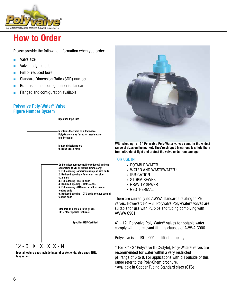

### **How to Order**

Please provide the following information when you order:

- Valve size
- Valve body material
- Full or reduced bore
- Standard Dimension Ratio (SDR) number
- Butt fusion end configuration is standard
- Flanged end configuration available

#### **Polyvalve Poly-Water® Valve Figure Number System**



**Special feature ends include integral socket ends, stub ends SDR, flanges, etc.**



**With sizes up to 12" Polyvalve Poly-Water valves come in the widest range of sizes on the market. They're shipped in cartons to shield them from ultraviolet light and protect the valve ends from damage.**

#### FOR USE IN:

- POTABLE WATER
- WATER AND WASTEWATER\*
- • IRRIGATION
- • STORM SEWER
- • GRAVITY SEWER
- • GEOTHERMAL

There are currently no AWWA standards relating to PE valves. However:  $\frac{1}{2}$ " – 3" Polyvalve Poly-Water<sup>®</sup> valves are suitable for use with PE pipe and tubing complying with AWWA C901.

4" – 12" Polyvalve Poly-Water® valves for potable water comply with the relevant fittings clauses of AWWA C906.

Polyvalve is an ISO 9001 certified company.

 $*$  For  $\frac{1}{2}$ " - 2" Polyvalve II (C-style), Poly-Water<sup>®</sup> valves are recommended for water within a very restricted pH range of 6 to 8. For applications with pH outside of this range refer to the Poly-Chem brochure. \*Available in Copper Tubing Standard sizes (CTS)